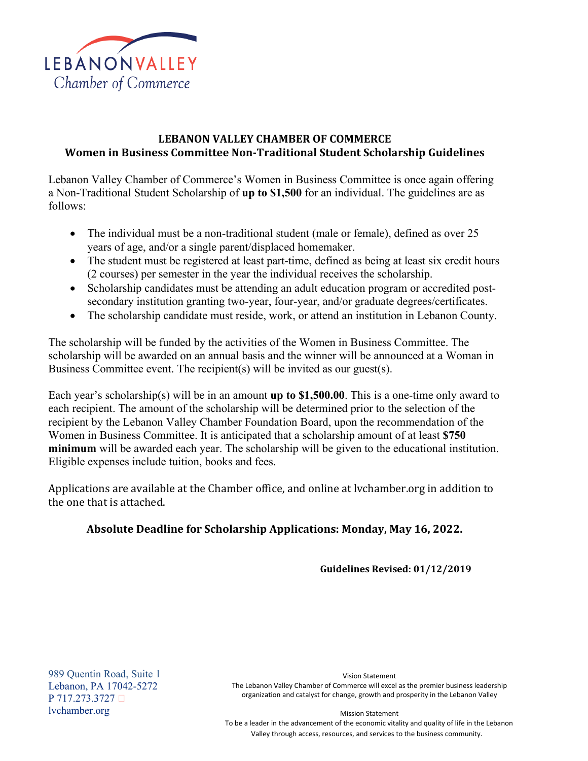

## **LEBANON VALLEY CHAMBER OF COMMERCE Women in Business Committee Non-Traditional Student Scholarship Guidelines**

Lebanon Valley Chamber of Commerce's Women in Business Committee is once again offering a Non‐Traditional Student Scholarship of **up to \$1,500** for an individual. The guidelines are as follows:

- The individual must be a non-traditional student (male or female), defined as over 25 years of age, and/or a single parent/displaced homemaker.
- The student must be registered at least part-time, defined as being at least six credit hours (2 courses) per semester in the year the individual receives the scholarship.
- Scholarship candidates must be attending an adult education program or accredited postsecondary institution granting two-year, four-year, and/or graduate degrees/certificates.
- The scholarship candidate must reside, work, or attend an institution in Lebanon County.

The scholarship will be funded by the activities of the Women in Business Committee. The scholarship will be awarded on an annual basis and the winner will be announced at a Woman in Business Committee event. The recipient(s) will be invited as our guest(s).

Each year's scholarship(s) will be in an amount **up to \$1,500.00**. This is a one-time only award to each recipient. The amount of the scholarship will be determined prior to the selection of the recipient by the Lebanon Valley Chamber Foundation Board, upon the recommendation of the Women in Business Committee. It is anticipated that a scholarship amount of at least **\$750 minimum** will be awarded each year. The scholarship will be given to the educational institution. Eligible expenses include tuition, books and fees.

Applications are available at the Chamber office, and online at lvchamber.org in addition to the one that is attached.

## **Absolute Deadline for Scholarship Applications: Monday, May 16, 2022.**

**Guidelines Revised: 01/12/2019** 

989 Quentin Road, Suite 1 Lebanon, PA 17042-5272 P 717.273.3727 [lvchamber.org](http://www.lvchamber.org/)

Vision Statement The Lebanon Valley Chamber of Commerce will excel as the premier business leadership [organization and catalyst for change, growth and prosperity in the Lebanon Valley](http://www.lvchamber.org/)

Mission Statement

To be a leader in the advancement of the economic vitality and quality of life in the Lebanon Valley through access, resources, and services to the business community.